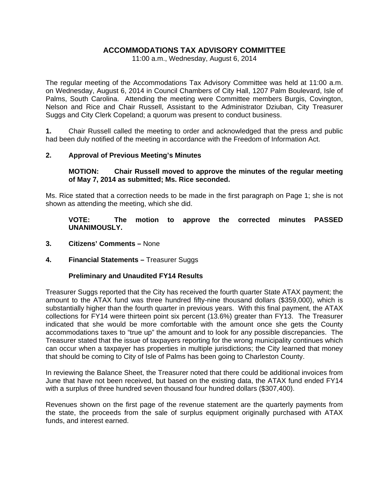# **ACCOMMODATIONS TAX ADVISORY COMMITTEE**

11:00 a.m., Wednesday, August 6, 2014

The regular meeting of the Accommodations Tax Advisory Committee was held at 11:00 a.m. on Wednesday, August 6, 2014 in Council Chambers of City Hall, 1207 Palm Boulevard, Isle of Palms, South Carolina. Attending the meeting were Committee members Burgis, Covington, Nelson and Rice and Chair Russell, Assistant to the Administrator Dziuban, City Treasurer Suggs and City Clerk Copeland; a quorum was present to conduct business.

**1.** Chair Russell called the meeting to order and acknowledged that the press and public had been duly notified of the meeting in accordance with the Freedom of Information Act.

## **2. Approval of Previous Meeting's Minutes**

### **MOTION: Chair Russell moved to approve the minutes of the regular meeting of May 7, 2014 as submitted; Ms. Rice seconded.**

Ms. Rice stated that a correction needs to be made in the first paragraph on Page 1; she is not shown as attending the meeting, which she did.

**VOTE: The motion to approve the corrected minutes PASSED UNANIMOUSLY.** 

- **3. Citizens' Comments** None
- **4. Financial Statements** Treasurer Suggs

## **Preliminary and Unaudited FY14 Results**

Treasurer Suggs reported that the City has received the fourth quarter State ATAX payment; the amount to the ATAX fund was three hundred fifty-nine thousand dollars (\$359,000), which is substantially higher than the fourth quarter in previous years. With this final payment, the ATAX collections for FY14 were thirteen point six percent (13.6%) greater than FY13. The Treasurer indicated that she would be more comfortable with the amount once she gets the County accommodations taxes to "true up" the amount and to look for any possible discrepancies. The Treasurer stated that the issue of taxpayers reporting for the wrong municipality continues which can occur when a taxpayer has properties in multiple jurisdictions; the City learned that money that should be coming to City of Isle of Palms has been going to Charleston County.

In reviewing the Balance Sheet, the Treasurer noted that there could be additional invoices from June that have not been received, but based on the existing data, the ATAX fund ended FY14 with a surplus of three hundred seven thousand four hundred dollars (\$307,400).

Revenues shown on the first page of the revenue statement are the quarterly payments from the state, the proceeds from the sale of surplus equipment originally purchased with ATAX funds, and interest earned.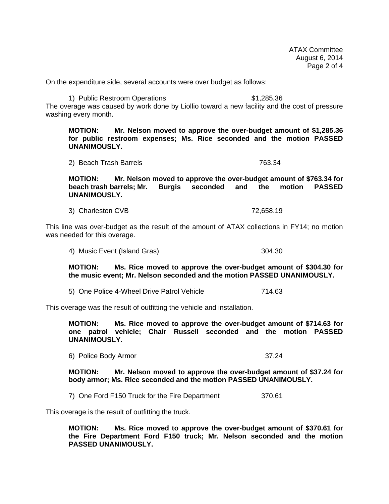ATAX Committee August 6, 2014 Page 2 of 4

On the expenditure side, several accounts were over budget as follows:

1) Public Restroom Operations  $$1,285.36$ The overage was caused by work done by Liollio toward a new facility and the cost of pressure washing every month.

**MOTION: Mr. Nelson moved to approve the over-budget amount of \$1,285.36 for public restroom expenses; Ms. Rice seconded and the motion PASSED UNANIMOUSLY.**

2) Beach Trash Barrels 763.34

**MOTION: Mr. Nelson moved to approve the over-budget amount of \$763.34 for beach trash barrels; Mr. Burgis seconded and the motion PASSED UNANIMOUSLY.**

3) Charleston CVB 72,658.19

This line was over-budget as the result of the amount of ATAX collections in FY14; no motion was needed for this overage.

4) Music Event (Island Gras) 304.30

**MOTION: Ms. Rice moved to approve the over-budget amount of \$304.30 for the music event; Mr. Nelson seconded and the motion PASSED UNANIMOUSLY.** 

5) One Police 4-Wheel Drive Patrol Vehicle 714.63

This overage was the result of outfitting the vehicle and installation.

**MOTION: Ms. Rice moved to approve the over-budget amount of \$714.63 for one patrol vehicle; Chair Russell seconded and the motion PASSED UNANIMOUSLY.** 

6) Police Body Armor 37.24

**MOTION: Mr. Nelson moved to approve the over-budget amount of \$37.24 for body armor; Ms. Rice seconded and the motion PASSED UNANIMOUSLY.**

7) One Ford F150 Truck for the Fire Department 370.61

This overage is the result of outfitting the truck.

**MOTION: Ms. Rice moved to approve the over-budget amount of \$370.61 for the Fire Department Ford F150 truck; Mr. Nelson seconded and the motion PASSED UNANIMOUSLY.**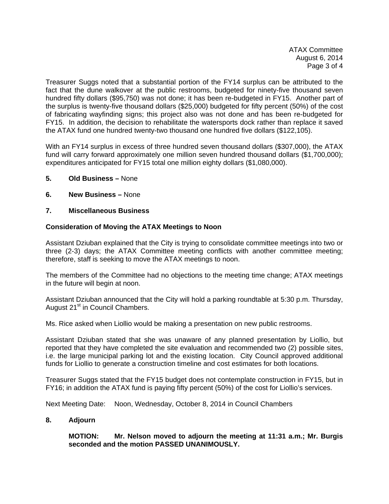ATAX Committee August 6, 2014 Page 3 of 4

Treasurer Suggs noted that a substantial portion of the FY14 surplus can be attributed to the fact that the dune walkover at the public restrooms, budgeted for ninety-five thousand seven hundred fifty dollars (\$95,750) was not done; it has been re-budgeted in FY15. Another part of the surplus is twenty-five thousand dollars (\$25,000) budgeted for fifty percent (50%) of the cost of fabricating wayfinding signs; this project also was not done and has been re-budgeted for FY15. In addition, the decision to rehabilitate the watersports dock rather than replace it saved the ATAX fund one hundred twenty-two thousand one hundred five dollars (\$122,105).

With an FY14 surplus in excess of three hundred seven thousand dollars (\$307,000), the ATAX fund will carry forward approximately one million seven hundred thousand dollars (\$1,700,000); expenditures anticipated for FY15 total one million eighty dollars (\$1,080,000).

- **5. Old Business** None
- **6. New Business** None

#### **7. Miscellaneous Business**

#### **Consideration of Moving the ATAX Meetings to Noon**

Assistant Dziuban explained that the City is trying to consolidate committee meetings into two or three (2-3) days; the ATAX Committee meeting conflicts with another committee meeting; therefore, staff is seeking to move the ATAX meetings to noon.

The members of the Committee had no objections to the meeting time change; ATAX meetings in the future will begin at noon.

Assistant Dziuban announced that the City will hold a parking roundtable at 5:30 p.m. Thursday, August 21<sup>st</sup> in Council Chambers.

Ms. Rice asked when Liollio would be making a presentation on new public restrooms.

Assistant Dziuban stated that she was unaware of any planned presentation by Liollio, but reported that they have completed the site evaluation and recommended two (2) possible sites, i.e. the large municipal parking lot and the existing location. City Council approved additional funds for Liollio to generate a construction timeline and cost estimates for both locations.

Treasurer Suggs stated that the FY15 budget does not contemplate construction in FY15, but in FY16; in addition the ATAX fund is paying fifty percent (50%) of the cost for Liollio's services.

Next Meeting Date: Noon, Wednesday, October 8, 2014 in Council Chambers

**8. Adjourn** 

 **MOTION: Mr. Nelson moved to adjourn the meeting at 11:31 a.m.; Mr. Burgis seconded and the motion PASSED UNANIMOUSLY.**